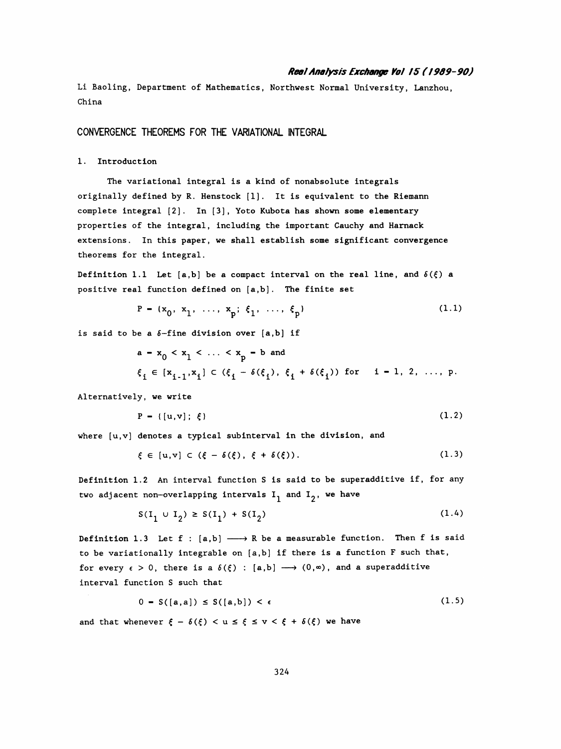## Real Analysis Exchange Vol IS ( / 969-90 )

 Li Baoling, Department of Mathematics, Northwest Normal University, Lanzhou, China

CONVERGENCE THEOREMS FOR THE VARIATIONAL INTEGRAL

## 1. Introduction

 The variational integral is a kind of nonabsolute integrals originally defined by R. Henstock [1], It is equivalent to the Riemann complete integral [2]. In [3], Yoto Kubota has shown some elementary properties of the integral, including the important Cauchy and Harnack extensions. In this paper, we shall establish some significant convergence theorems for the integral.

Definition 1.1 Let [a,b] be a compact interval on the real line, and  $\delta(\xi)$  a positive real function defined on [a,b] . The finite set

$$
P = \{x_0, x_1, \ldots, x_p; \xi_1, \ldots, \xi_p\} \tag{1.1}
$$

is said to be a  $\delta$ -fine division over [a,b] if

$$
a - x_0 < x_1 < \ldots < x_p - b \text{ and}
$$
\n
$$
\xi_i \in [x_{i-1}, x_i] \subset (\xi_i - \delta(\xi_i), \xi_i + \delta(\xi_i)) \text{ for } i - 1, 2, \ldots, p.
$$

Alternatively, we write

$$
ly, we write
$$
  
P = {{[u,v];  $\xi}$  (1.2)

where  $[u, v]$  denotes a typical subinterval in the division, and

$$
\xi \in [u, v] \subset (\xi - \delta(\xi), \xi + \delta(\xi)). \tag{1.3}
$$

 Definition 1.2 An interval function S is said to be superadditive if, for any two adjacent non-overlapping intervals  $I_1$  and  $I_2$ , we have

$$
S(I_1 \cup I_2) \ge S(I_1) + S(I_2)
$$
 (1.4)

Definition 1.3 Let  $f : [a,b] \longrightarrow R$  be a measurable function. Then f is said to be variationally integrable on [a,b] if there is a function F such that, for every  $\epsilon > 0$ , there is a  $\delta(\xi)$  : [a,b]  $\longrightarrow$   $(0,\infty)$ , and a superadditive interval function S such that

$$
0 = S([a,a]) \le S([a,b]) < \epsilon \tag{1.5}
$$

and that whenever  $\xi - \delta(\xi) < u \leq \xi \leq v < \xi + \delta(\xi)$  we have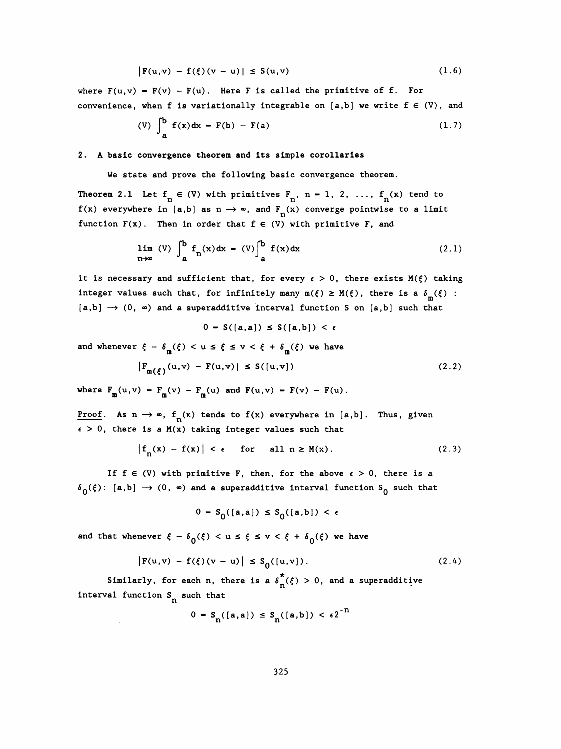$$
|F(u,v) - f(\xi)(v - u)| \le S(u,v)
$$
 (1.6)

where  $F(u,v) - F(v) - F(u)$ . Here F is called the primitive of f. For convenience, when f is variationally integrable on [a,b] we write  $f \in (V)$ , and

(V) 
$$
\int_{a}^{b} f(x) dx - F(b) - F(a)
$$
 (1.7)

### 2. A basic convergence theorem and its simple corollaries

We state and prove the following basic convergence theorem.

Theorem 2.1 Let  $f^{\prime}_{n} \in (V)$  with primitives  $F^{\prime}_{n}$ , n - 1, 2, ...,  $f^{\prime}_{n}(x)$  tend to f(x) everywhere in [a,b] as  $n \to \infty$ , and  $F^{\prime}_{n}(x)$  converge pointwise to a limit function  $F(x)$ . Then in order that  $f \in (V)$  with primitive F, and

$$
\lim_{n \to \infty} (V) \int_{a}^{b} f_n(x) dx - (V) \int_{a}^{b} f(x) dx
$$
 (2.1)

it is necessary and sufficient that, for every  $\epsilon > 0$ , there exists  $M(\xi)$  taking integer values such that, for infinitely many  $m(\xi) \ge M(\xi)$ , there is a  $\delta_m(\xi)$ :  $[a,b] \rightarrow (0, \infty)$  and a superadditive interval function S on  $[a,b]$  such that

$$
0 - S([a,a]) \leq S([a,b]) < \epsilon
$$

and whenever  $\xi - \delta_{\text{m}}(\xi) < u \leq \xi \leq v < \xi + \delta_{\text{m}}(\xi)$  we have 0 - S([a,a])  $\leq S($ ]<br>m<sup>( $\xi$ </sup>) < u  $\leq \xi \leq v < \xi + \delta_{\text{m}}$ 

$$
|F_{m(\xi)}(u,v) - F(u,v)| \le S([u,v])
$$
 (2.2)

where  $F_m(u, v) = F_m(v) - F_m(u)$  and  $F(u, v) = F(v) - F(u)$ .  $f_m(u,v) - F_m(v) - F_m$ 

where  $F_m(u,v) - F_m(v) - F_m(u)$  and  $F(u,v) - F(v) - F(u)$ .<br>Proof. As  $n \to \infty$ ,  $f_n(x)$  tends to  $f(x)$  everywhere in [a,b]. Thus, given<br> $\epsilon > 0$ , there is a  $M(x)$  taking integer values such that  $\epsilon > 0$ , there is a M(x) taking integer values such that

$$
\left|f_n(x) - f(x)\right| < \epsilon \quad \text{for} \quad \text{all } n \geq M(x). \tag{2.3}
$$

If  $f \in (V)$  with primitive F, then, for the above  $\epsilon > 0$ , there is a  $\delta_0(\xi)$ : [a,b]  $\rightarrow$  (0,  $\infty$ ) and a superadditive interval function S<sub>0</sub> such that

$$
0 - S_0([a,a]) \le S_0([a,b]) < \epsilon
$$

and that whenever  $\xi - \delta_0(\xi) < u \leq \xi \leq v < \xi + \delta_0(\xi)$  we have

$$
|F(u,v) - f(\xi)(v-u)| \le S_0([u,v]). \qquad (2.4)
$$

Similarly, for each n, there is a  $\delta_{\hat{n}}(\xi) > 0$ , and a superadditive interval function S<sub>n</sub> such that

$$
0 - S_n([a,a]) \leq S_n([a,b]) < \epsilon 2^{-11}
$$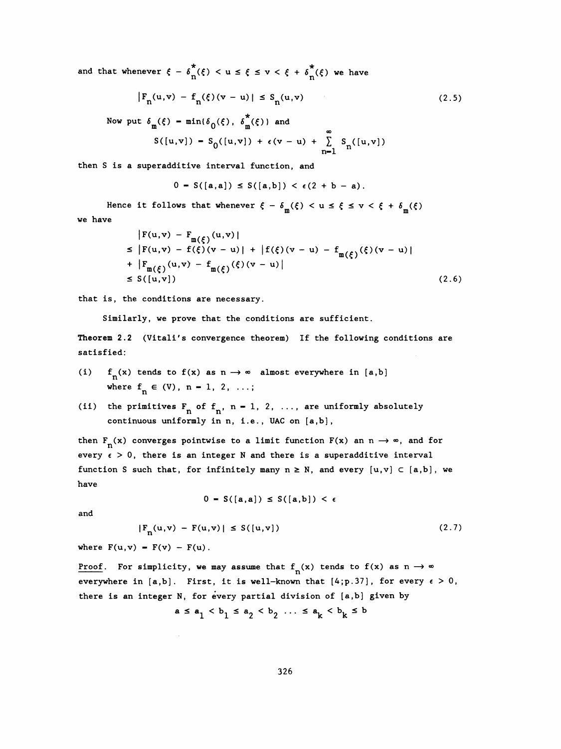and that whenever  $\xi - \delta_n^*(\xi) < u \leq \xi \leq v < \xi + \delta_n^*(\xi)$  we have

$$
|F_n(u,v) - f_n(\xi)(v-u)| \le S_n(u,v)
$$
 (2.5)

Now put  $\delta_{m}(\xi)$  -  $min{\{\delta_{0}(\xi), \ \delta_{m}^{*}(\xi)\}}$  and

$$
S([u,v]) = S_0([u,v]) + \epsilon(v-u) + \sum_{n=1}^{\infty} S_n([u,v])
$$

then S is a superadditive interval function, and

$$
0 = S([a,a]) \le S([a,b]) < \epsilon(2 + b - a).
$$

Hence it follows that whenever  $\xi - \delta_m(\xi) < u \leq \xi \leq v < \xi + \delta_m(\xi)$ 

we have

$$
|F(u,v) - F_{m(\xi)}(u,v)|
$$
  
\n
$$
\leq |F(u,v) - f(\xi)(v-u)| + |f(\xi)(v-u) - f_{m(\xi)}(\xi)(v-u)|
$$
  
\n
$$
+ |F_{m(\xi)}(u,v) - f_{m(\xi)}(\xi)(v-u)|
$$
  
\n
$$
\leq S([u,v]) \qquad (2.6)
$$

that is, the conditions are necessary.

Similarly, we prove that the conditions are sufficient.

Theorem 2.2 (Vitali's convergence theorem) If the following conditions are satisfied:

- (i)  $f_n(x)$  tends to  $f(x)$  as  $n \to \infty$  almost everywhere in [a,b] where  $f_n \in (V)$ , n - 1, 2, ...;
- (ii) the primitives  $F^{\text{nf}}_n$ , n = 1, 2, ..., are uniformly absolutely continuous uniformly in n, i.e., UAC on [a,b] ,

then  $F_n(x)$  converges pointwise to a limit function  $F(x)$  an  $n \to \infty$ , and for every  $\epsilon > 0$ , there is an integer N and there is a superadditive interval function S such that, for infinitely many  $n \geq N$ , and every  $[u, v] \subset [a, b]$ , we have

 $0 = S([a, a]) \leq S([a, b]) < \epsilon$ 

and

$$
|F_n(u,v) - F(u,v)| \le S([u,v])
$$
\n(2.7)

where  $F(u, v) = F(v) - F(u)$ .

<u>Proof</u>. For simplicity, we may assume that  $f_n(x)$  tends to  $f(x)$  as  $n \to \infty$ everywhere in  $[a,b]$ . First, it is well-known that  $[4;p.37]$ , for every  $\epsilon > 0$ , there is an integer N, for every partial division of [a,b] given by

$$
a \le a_1 < b_1 \le a_2 < b_2 \ldots \le a_k < b_k \le b
$$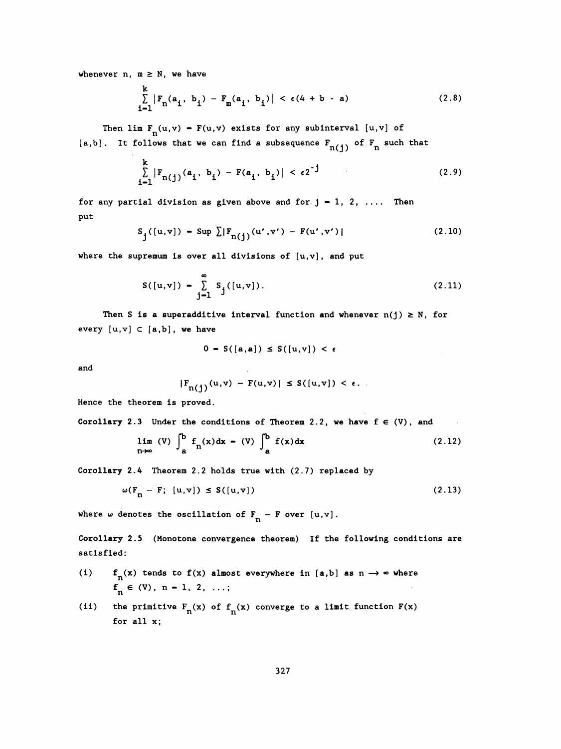whenever  $n, m \geq N$ , we have

$$
\sum_{i=1}^{k} |F_n(a_i, b_i) - F_m(a_i, b_i)| < \epsilon (4 + b - a)
$$
 (2.8)

Then lim  $F^{\{u,v\}} - F(u,v)$  exists for any subinterval  $[u,v]$  of

[a,b]. It follows that we can find a subsequence  $F_{n(j)}$  of  $F_n$  such that

$$
\sum_{i=1}^{k} |F_{n(j)}(a_i, b_i) - F(a_i, b_i)| < \epsilon 2^{-j}
$$
 (2.9)

for any partial division as given above and for  $j - 1, 2, ...$  Then put

$$
S_j([u, v]) - \sup \sum |F_{n(j)}(u', v') - F(u', v')|
$$
 (2.10)

where the supremum is over all divisions of  $[u,v]$ , and put

$$
S([u,v]) - \sum_{j=1}^{\infty} S_j([u,v]).
$$
 (2.11)

Then S is a superadditive interval function and whenever  $n(j) \geq N$ , for every  $[u, v] \subset [a, b]$ , we have

$$
0 - S([a,a]) \le S([u,v]) < \epsilon
$$

and

$$
|F_{n(j)}(u,v) - F(u,v)| \le S([u,v]) < \epsilon.
$$

Hence the theorem is proved.

Corollary 2.3 Under the conditions of Theorem 2.2, we have  $f \in (V)$ , and  $\sim 100$ 

 $\sim 10$ 

$$
\lim_{n \to \infty} (V) \int_{a}^{b} f_n(x) dx - (V) \int_{a}^{b} f(x) dx
$$
 (2.12)

Corollary 2.4 Theorem 2.2 holds true with (2.7) replaced by

$$
\omega(\mathbf{F}_n - \mathbf{F}; [u, v]) \le S([u, v])
$$
\n(2.13)

where  $\omega$  denotes the oscillation of  $F_n - F$  over  $[u, v]$ .

 Corollary 2.5 (Monotone convergence theorem) If the following conditions are satisfied:

- (i)  $f_n(x)$  tends to  $f(x)$  almost everywhere in [a,b] as  $n \to \infty$  where  $f_n \in (V), n - 1, 2, ...;$
- (ii) the primitive  $F_n(x)$  of  $f_n(x)$  converge to a limit function  $F(x)$ for all x;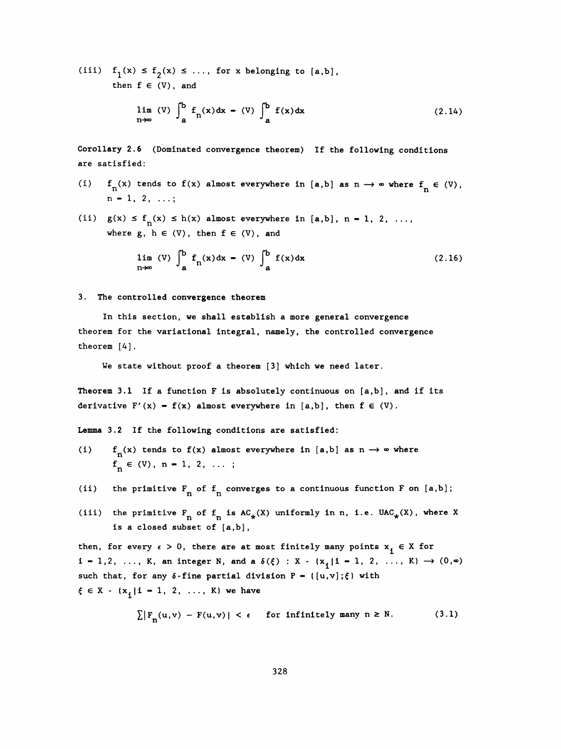(iii)  $f_1(x) \le f_2(x) \le \ldots$ , for x belonging to [a,b], then  $f \in (V)$ , and

$$
\lim_{n \to \infty} (V) \int_{a}^{b} f_n(x) dx - (V) \int_{a}^{b} f(x) dx
$$
 (2.14)

 Corollary 2.6 (Dominated convergence theorem) If the following conditions are satisfied:

- (i)  $f_n(x)$  tends to  $f(x)$  almost everywhere in [a,b] as  $n \to \infty$  where  $f_n \in (V)$ ,  $n = 1, 2, ...;$ then  $f \in (V)$ , and<br>  $\lim_{n \to \infty} (V) \int_{a}^{b} f_n(x) dx - (V) \int_{a}^{b} f(x) dx$ <br>
ry 2.6 (Dominated convergence theorem) If the following condit<br>
isfied:<br>  $n(x)$  tends to  $f(x)$  almost everywhere in [a,b] as  $n \to \infty$  where  $f_n$ <br>  $-1, 2, ...$ ;
- (ii)  $g(x) \le f_n(x) \le h(x)$  almost everywhere in [a,b], n 1, 2, ..., where  $g, h \in (V)$ , then  $f \in (V)$ , and

$$
\lim_{n \to \infty} (V) \int_{a}^{b} f_{n}(x) dx - (V) \int_{a}^{b} f(x) dx
$$
 (2.16)

3. The controlled convergence theorem

 In this section, we shall establish a more general convergence theorem for the variational integral, namely, the controlled convergence theorem [4] .

We state without proof a theorem [3] which we need later.

Theorem 3.1 If a function F is absolutely continuous on  $[a,b]$ , and if its derivative  $F'(x) - f(x)$  almost everywhere in [a,b], then  $f \in (V)$ .

Lemma 3.2 If the following conditions are satisfied:

- (i)  $f_n(x)$  tends to  $f(x)$  almost everywhere in [a,b] as  $n \to \infty$  where  $f_n \in (V), n-1, 2, ...;$
- (ii) the primitive  $F_n$  of  $f_n$  converges to a continuous function F on [a,b];
- (ii) the primitive  $F_n$  of  $f_n$  converges to a continuous function F on [a,b];<br>(iii) the primitive  $F_n$  of  $f_n$  is  $AC_*(X)$  uniformly in n, i.e.  $UAC_*(X)$ , where X<br>is a closed subset of [a,b], is a closed subset of [a,b] ,

then, for every  $\epsilon > 0$ , there are at most finitely many points  $x_i \in X$  for  $i = 1, 2, ..., K$ , an integer N, and a  $\delta(\xi) : X - \{x_{\xi} | i = 1, 2, ..., K\} \rightarrow (0, \infty)$ such that, for any  $\delta$ -fine partial division  $P = \{ [u,v]; \xi \}$  with  $\xi \in X - \{x^i, |i - 1, 2, ..., K\}$  we have

$$
\sum |F_n(u,v) - F(u,v)| < \epsilon \quad \text{for infinitely many } n \ge N. \tag{3.1}
$$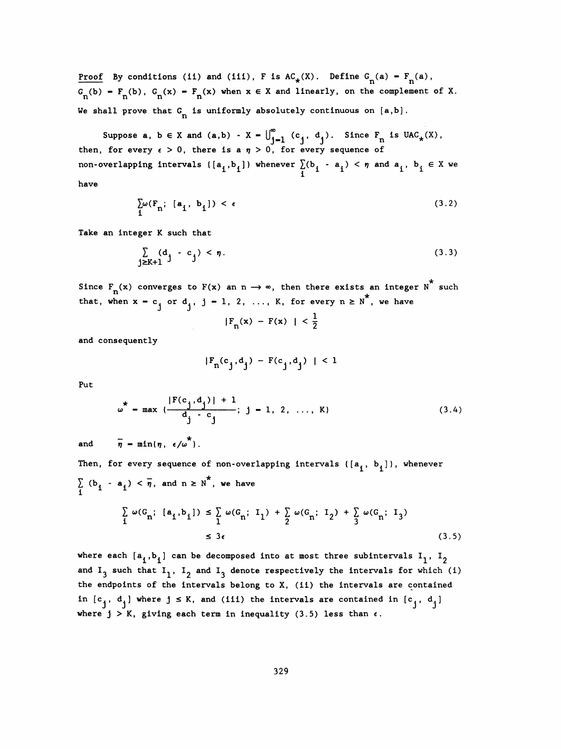Proof By conditions (ii) and (iii), F is  $AC_{\star}(X)$ . Define  $G_n(a) = F_n(a)$ ,  $G_n(b) = F_n(b)$ ,  $G_n(x) = F_n(x)$  when  $x \in X$  and linearly, on the complement of X.  $\frac{1001}{n^{(b)}} - F_n(b)$ ,  $G_n(x) - F_n$ Proof By conditions (ii) and (iii), F is  $AC_x(X)$ . Define  $G_n(a) = F_n(a)$ ,<br>  $G_n(b) = F_n(b)$ ,  $G_n(x) = F_n(x)$  when  $x \in X$  and linearly, on the complement of X.<br>
We shall prove that  $G_n$  is uniformly absolutely continuous on [a,b].

 $S_{n}(B)$ ,  $G_{n}(x) = F_{n}(x)$  when  $x \in X$  and linearly, on the complement of  $X$ .<br>
all prove that  $G_{n}$  is uniformly absolutely continuous on  $[a,b]$ .<br>
Suppose  $a, b \in X$  and  $(a,b) - X - \bigcup_{j=1}^{\infty} (c_j, d_j)$ . Since  $F_{n}$  is  $UAC_{*}(X$ Suppose a,  $b \in X$  and  $(a,b) - X = \bigcup_{j=1}^{\infty} (c_j, d_j)$ . Since  $F_n$  is  $UAC_{\star}(X)$ , then, for every  $\epsilon > 0$ , there is a  $\eta > 0$ , for every sequence of non-overlapping intervals  $\{[a^i,b^i]\}$  whenever  $\sum_i(b^i-a^i)<\eta$  and  $a^i$ ,  $b^i\in X$  we have

$$
\sum_{i} \omega(F_{n}; [a_{i}, b_{i}]) < \epsilon \tag{3.2}
$$

Take an integer K such that

$$
\sum_{j \geq k+1} (d_j - c_j) < \eta. \tag{3.3}
$$

Since  $F_n(x)$  converges to  $F(x)$  an  $n \to \infty$ , then there exists an integer  $N$  such that, when  $x = c_j$  or  $d_j$ , j - 1, 2, ..., K, for every  $n \ge N^*$ , we have

$$
|F_n(x) - F(x)| < \frac{1}{2}
$$

and consequently

$$
|F_n(c_j, d_j) - F(c_j, d_j)| < 1
$$

Put

$$
\omega^* = \max \left\{ \frac{|F(c_j, d_j)| + 1}{d_j - c_j}; \ j = 1, 2, ..., K \right\}
$$
 (3.4)

and  $\overline{\eta}$  - min{ $\eta$ ,  $\epsilon/\omega^*$ }.

Then, for every sequence of non-overlapping intervals  $\{[a^i, b^j]\}$ , whenever  $\sum_{i}$  (b<sub>i</sub> - a<sub>i</sub>) <  $\eta$ , and n  $\geq$  N , we have  $\sum_{i}$  (b<sub>i</sub> - a<sub>i</sub>

$$
\sum_{i} \omega(G_{n}; [a_{i}, b_{i}]) \leq \sum_{i} \omega(G_{n}; I_{1}) + \sum_{i} \omega(G_{n}; I_{2}) + \sum_{i} \omega(G_{n}; I_{3})
$$
\n
$$
\leq 3\epsilon
$$
\n(3.5)\nwhere each  $[a_{i}, b_{i}]$  can be decomposed into at most three subintervals  $I_{1}$ ,  $I_{2}$  and  $I_{3}$  such that  $I_{1}$ ,  $I_{2}$  and  $I_{3}$  denote respectively the intervals for which (i)

 $\leq 3\epsilon$  (3.5)<br>
where each  $[a_1, b_1]$  can be decomposed into at most three subintervals  $I_1$ ,  $I_2$ <br>
and  $I_3$  such that  $I_1$ ,  $I_2$  and  $I_3$  denote respectively the intervals for which (i)<br>
the endpoints of the inter the endpoints of the intervals belong to X, (ii) the intervals are contained in  $[c_i, d_i]$  where  $j \leq K$ , and (iii) the intervals are contained in  $[c_i, d_i]$ where  $j > K$ , giving each term in inequality (3.5) less than  $\epsilon$ .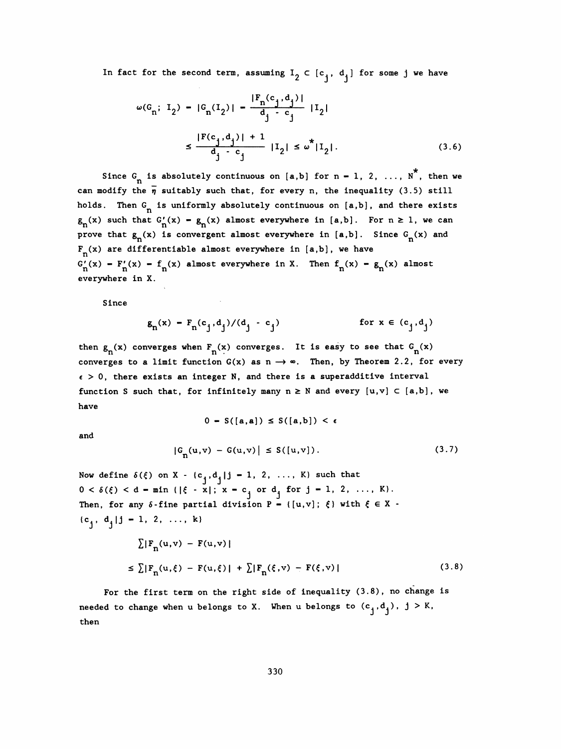In fact for the second term, assuming  $I_2 \subset [c^i_j, d^i_j ]$  for some j we have

$$
\omega(G_n; I_2) - |G_n(I_2)| - \frac{|F_n(c_j, d_j)|}{d_j - c_j} |I_2|
$$
  

$$
\leq \frac{|F(c_j, d_j)| + 1}{d_j - c_j} |I_2| \leq \omega^* |I_2|.
$$
 (3.6)

Since  $G_n$  is absolutely continuous on [a,b] for n - 1, 2, ...,  $N^*$ , then we can modify the  $\bar{\eta}$  suitably such that, for every n, the inequality (3.5) still holds. Then  $G_n$  is uniformly absolutely continuous on  $[a,b]$ , and there exists  $g_n(x)$  such that  $G'_n(x) - g_n(x)$  almost everywhere in [a,b]. For  $n \ge 1$ , we can prove that  $g_n(x)$  is convergent almost everywhere in [a,b]. Since  $G_n(x)$  and  $F_n(x)$  are differentiable almost everywhere in [a,b], we have  $G'_n(x) - F'_n(x) - f_n(x)$  almost everywhere in X. Then  $f_n(x) - g_n(x)$  almost everywhere in X  $F_n(x)$  are differentiable almost everywhere in [a,b], we have  $G'_{n}(x) - F'_{n}(x) - f_{n}(x)$  almost everywhere in X. Then  $f_{n}(x) - g_{n}(x)$  almost everywhere in X.

Since

$$
g_n(x) - F_n(c_j, d_j)/(d_j - c_j)
$$
 for  $x \in (c_j, d_j)$ 

then  $g_n(x)$  converges when  $F_n(x)$  converges. It is easy to see that  $G_n(x)$ converges to a limit function  $G(x)$  as  $n \rightarrow \infty$ . Then, by Theorem 2.2, for every  $\epsilon > 0$ , there exists an integer N, and there is a superadditive interval function S such that, for infinitely many  $n \ge N$  and every  $[u,v] \subset [a,b]$ , we have

$$
0 - S([a,a]) \le S([a,b]) < \epsilon
$$

and

$$
|G_n(u,v) - G(u,v)| \le S([u,v]). \tag{3.7}
$$

Now define  $\delta(\xi)$  on X -  $\{c_j, d_j | j - 1, 2, ..., K\}$  such that  $0 < \delta(\xi) < d - \min \{ |\xi - x|; x - c \}$  or  $d_i$  for  $j - 1, 2, ..., K$ . Then, for any  $\delta$ -fine partial division P - ([u,v];  $\xi$ ) with  $\xi \in X$  - ${c_1, d_1 | j - 1, 2, ..., k}$ 

$$
\sum |F_n(u,v) - F(u,v)|
$$
  
\n
$$
\leq \sum |F_n(u,\xi) - F(u,\xi)| + \sum |F_n(\xi,v) - F(\xi,v)|
$$
\n(3.8)

 For the first term on the right side of inequality (3.8), no change is needed to change when u belongs to X. When u belongs to  $(c_j, d_j)$ ,  $j > K$ , then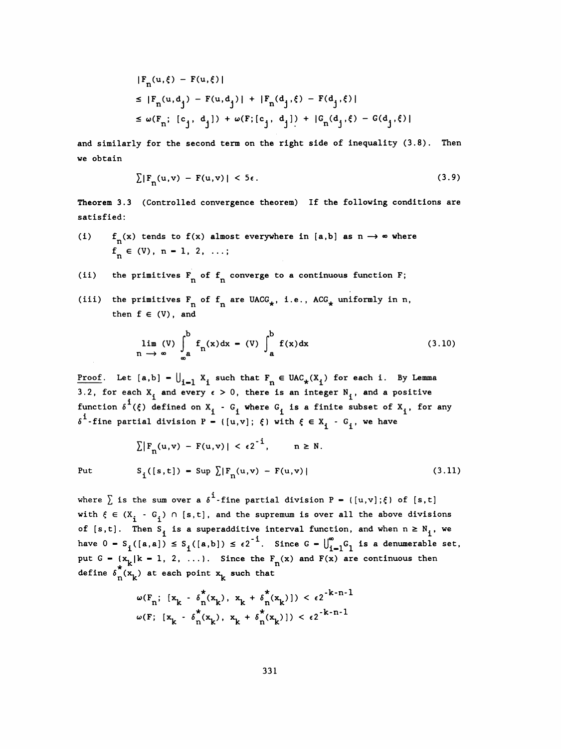$$
|F_n(u,\xi) - F(u,\xi)|
$$
  
\n
$$
\leq |F_n(u,d_j) - F(u,d_j)| + |F_n(d_j,\xi) - F(d_j,\xi)|
$$
  
\n
$$
\leq \omega(F_n; [c_j, d_j]) + \omega(F; [c_j, d_j]) + |G_n(d_j,\xi) - G(d_j,\xi)|
$$

 and similarly for the second term on the right side of inequality (3.8). Then we obtain

$$
\sum |F_n(u,v) - F(u,v)| < 5\epsilon. \tag{3.9}
$$

 Theorem 3.3 (Controlled convergence theorem) If the following conditions are satisfied:

- (i)  $f_n(x)$  tends to  $f(x)$  almost everywhere in [a,b] as  $n \to \infty$  where  $f_n \in (V), n-1, 2, ...;$
- (ii) the primitives  $F^{\dagger}_{n}$  of  $f^{\dagger}_{n}$  converge to a continuous function F;
- (iii) the primitives  $F^{\quad}_{n}$  of  $f^{\quad}_{n}$  are UACG<sub>\*</sub>, i.e., ACG<sub>\*</sub> uniformly in n, then  $f \in (V)$ , and

$$
\lim_{n \to \infty} (V) \int_{\infty}^{b} f_n(x) dx - (V) \int_{a}^{b} f(x) dx
$$
 (3.10)

<u>Proof</u>. Let  $[a,b] - \bigcup_{i=1}^k X_i$  such that  $F_n \in \text{UAC}_*(X_i)$  for each i. By Lemma 3.2, for each  $X_i$  and every  $\epsilon > 0$ , there is an integer  $N_i$ , and a positive acn x.<br>1/f) d function  $\delta^{\mathbf{i}}(\xi)$  defined on  $X^{\mathbf{i}}_1$  -  $G^{\mathbf{j}}_1$  where  $G^{\mathbf{i}}_1$  is a finite subset of  $X^{\mathbf{i}}_1$ , for any  $\delta^1$ -fine partial division P - { [u,v];  $\xi$ } with  $\xi \in X^{\phantom{1}}_1$  - G<sub>1</sub>, we have

$$
\sum |F_n(u,v) - F(u,v)| < \epsilon 2^{-1}, \qquad n \ge N.
$$
\nPut

\n
$$
S_i([s,t]) - \text{Sup } \sum |F_n(u,v) - F(u,v)|
$$
\n(3.11)

where  $\sum$  is the sum over a  $\delta^1$ -fine partial division P = { $[u,v]; \xi$ } of  $[s,t]$ with  $\xi \in (X^{\prime}_{i} - G^{\prime}_{i})$   $\cap$  [s,t], and the supremum is over all the above divisions of [s,t]. Then S<sub>1</sub> is a superadditive interval function, and when  $n \ge N^1$ , we have  $0 - S_i([a,a]) \leq S_i([a,b]) \leq \epsilon 2^{-1}$ . Since  $G - \bigcup_{i=1}^{\infty} G_i$  is a denumerable set, put G -  $\{x_k | k - 1, 2, \ldots\}$ . Since the  $F_n(x)$  and  $F(x)$  are continuous then define  $\delta_n^*(x_k)$  at each point  $x_k$  such that

$$
\omega(F_n; [x_k - \delta_n^*(x_k), x_k + \delta_n^*(x_k)]) < \epsilon 2^{-k-n-1}
$$
  

$$
\omega(F; [x_k - \delta_n^*(x_k), x_k + \delta_n^*(x_k)]) < \epsilon 2^{-k-n-1}
$$